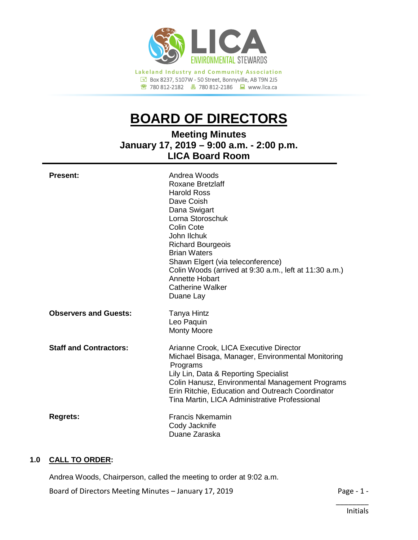

780 812-2182780 812-2186www.lica.ca

# **BOARD OF DIRECTORS**

**Meeting Minutes January 17, 2019 – 9:00 a.m. - 2:00 p.m. LICA Board Room**

| <b>Present:</b>               | Andrea Woods<br>Roxane Bretzlaff<br><b>Harold Ross</b><br>Dave Coish<br>Dana Swigart<br>Lorna Storoschuk<br><b>Colin Cote</b><br>John Ilchuk<br><b>Richard Bourgeois</b><br><b>Brian Waters</b><br>Shawn Elgert (via teleconference)<br>Colin Woods (arrived at 9:30 a.m., left at 11:30 a.m.)<br><b>Annette Hobart</b><br><b>Catherine Walker</b><br>Duane Lay |
|-------------------------------|-----------------------------------------------------------------------------------------------------------------------------------------------------------------------------------------------------------------------------------------------------------------------------------------------------------------------------------------------------------------|
| <b>Observers and Guests:</b>  | <b>Tanya Hintz</b><br>Leo Paquin<br><b>Monty Moore</b>                                                                                                                                                                                                                                                                                                          |
| <b>Staff and Contractors:</b> | Arianne Crook, LICA Executive Director<br>Michael Bisaga, Manager, Environmental Monitoring<br>Programs<br>Lily Lin, Data & Reporting Specialist<br>Colin Hanusz, Environmental Management Programs<br>Erin Ritchie, Education and Outreach Coordinator<br>Tina Martin, LICA Administrative Professional                                                        |
| <b>Regrets:</b>               | <b>Francis Nkemamin</b><br>Cody Jacknife<br>Duane Zaraska                                                                                                                                                                                                                                                                                                       |

## **1.0 CALL TO ORDER:**

Andrea Woods, Chairperson, called the meeting to order at 9:02 a.m.

Board of Directors Meeting Minutes – January 17, 2019 **Page - 1 -** Page - 1 -

\_\_\_\_\_\_\_\_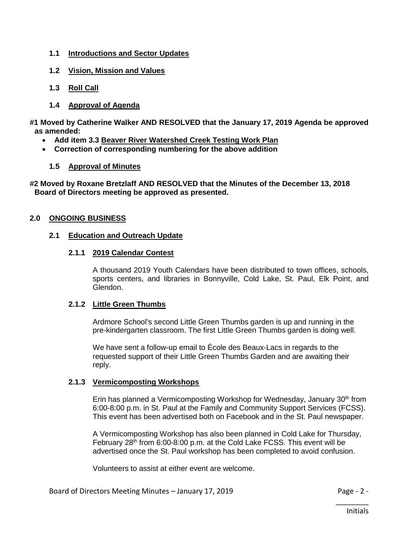- **1.1 Introductions and Sector Updates**
- **1.2 Vision, Mission and Values**
- **1.3 Roll Call**
- **1.4 Approval of Agenda**
- **#1 Moved by Catherine Walker AND RESOLVED that the January 17, 2019 Agenda be approved as amended:**
	- **Add item 3.3 Beaver River Watershed Creek Testing Work Plan**
	- **Correction of corresponding numbering for the above addition**
		- **1.5 Approval of Minutes**

**#2 Moved by Roxane Bretzlaff AND RESOLVED that the Minutes of the December 13, 2018 Board of Directors meeting be approved as presented.**

## **2.0 ONGOING BUSINESS**

#### **2.1 Education and Outreach Update**

#### **2.1.1 2019 Calendar Contest**

A thousand 2019 Youth Calendars have been distributed to town offices, schools, sports centers, and libraries in Bonnyville, Cold Lake, St. Paul, Elk Point, and Glendon.

#### **2.1.2 Little Green Thumbs**

Ardmore School's second Little Green Thumbs garden is up and running in the pre-kindergarten classroom. The first Little Green Thumbs garden is doing well.

We have sent a follow-up email to École des Beaux-Lacs in regards to the requested support of their Little Green Thumbs Garden and are awaiting their reply.

## **2.1.3 Vermicomposting Workshops**

Erin has planned a Vermicomposting Workshop for Wednesday, January  $30<sup>th</sup>$  from 6:00-8:00 p.m. in St. Paul at the Family and Community Support Services (FCSS). This event has been advertised both on Facebook and in the St. Paul newspaper.

A Vermicomposting Workshop has also been planned in Cold Lake for Thursday, February 28<sup>th</sup> from 6:00-8:00 p.m. at the Cold Lake FCSS. This event will be advertised once the St. Paul workshop has been completed to avoid confusion.

Volunteers to assist at either event are welcome.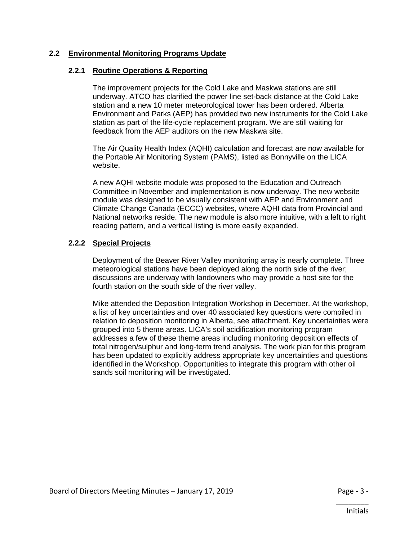## **2.2 Environmental Monitoring Programs Update**

## **2.2.1 Routine Operations & Reporting**

The improvement projects for the Cold Lake and Maskwa stations are still underway. ATCO has clarified the power line set-back distance at the Cold Lake station and a new 10 meter meteorological tower has been ordered. Alberta Environment and Parks (AEP) has provided two new instruments for the Cold Lake station as part of the life-cycle replacement program. We are still waiting for feedback from the AEP auditors on the new Maskwa site.

The Air Quality Health Index (AQHI) calculation and forecast are now available for the Portable Air Monitoring System (PAMS), listed as Bonnyville on the LICA website.

A new AQHI website module was proposed to the Education and Outreach Committee in November and implementation is now underway. The new website module was designed to be visually consistent with AEP and Environment and Climate Change Canada (ECCC) websites, where AQHI data from Provincial and National networks reside. The new module is also more intuitive, with a left to right reading pattern, and a vertical listing is more easily expanded.

## **2.2.2 Special Projects**

Deployment of the Beaver River Valley monitoring array is nearly complete. Three meteorological stations have been deployed along the north side of the river; discussions are underway with landowners who may provide a host site for the fourth station on the south side of the river valley.

Mike attended the Deposition Integration Workshop in December. At the workshop, a list of key uncertainties and over 40 associated key questions were compiled in relation to deposition monitoring in Alberta, see attachment. Key uncertainties were grouped into 5 theme areas. LICA's soil acidification monitoring program addresses a few of these theme areas including monitoring deposition effects of total nitrogen/sulphur and long-term trend analysis. The work plan for this program has been updated to explicitly address appropriate key uncertainties and questions identified in the Workshop. Opportunities to integrate this program with other oil sands soil monitoring will be investigated.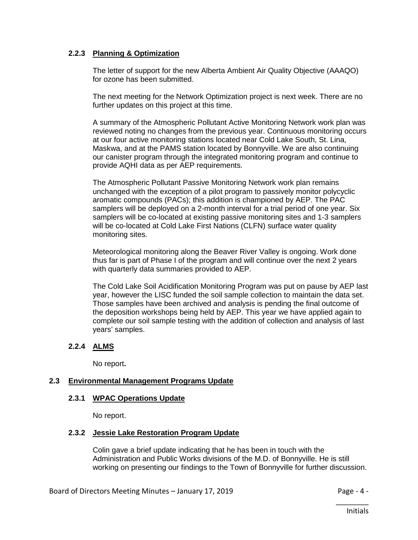## **2.2.3 Planning & Optimization**

The letter of support for the new Alberta Ambient Air Quality Objective (AAAQO) for ozone has been submitted.

The next meeting for the Network Optimization project is next week. There are no further updates on this project at this time.

A summary of the Atmospheric Pollutant Active Monitoring Network work plan was reviewed noting no changes from the previous year. Continuous monitoring occurs at our four active monitoring stations located near Cold Lake South, St. Lina, Maskwa, and at the PAMS station located by Bonnyville. We are also continuing our canister program through the integrated monitoring program and continue to provide AQHI data as per AEP requirements.

The Atmospheric Pollutant Passive Monitoring Network work plan remains unchanged with the exception of a pilot program to passively monitor polycyclic aromatic compounds (PACs); this addition is championed by AEP. The PAC samplers will be deployed on a 2-month interval for a trial period of one year. Six samplers will be co-located at existing passive monitoring sites and 1-3 samplers will be co-located at Cold Lake First Nations (CLFN) surface water quality monitoring sites.

Meteorological monitoring along the Beaver River Valley is ongoing. Work done thus far is part of Phase I of the program and will continue over the next 2 years with quarterly data summaries provided to AEP.

The Cold Lake Soil Acidification Monitoring Program was put on pause by AEP last year, however the LISC funded the soil sample collection to maintain the data set. Those samples have been archived and analysis is pending the final outcome of the deposition workshops being held by AEP. This year we have applied again to complete our soil sample testing with the addition of collection and analysis of last years' samples.

# **2.2.4 ALMS**

No report**.**

## **2.3 Environmental Management Programs Update**

## **2.3.1 WPAC Operations Update**

No report.

## **2.3.2 Jessie Lake Restoration Program Update**

Colin gave a brief update indicating that he has been in touch with the Administration and Public Works divisions of the M.D. of Bonnyville. He is still working on presenting our findings to the Town of Bonnyville for further discussion.

\_\_\_\_\_\_\_\_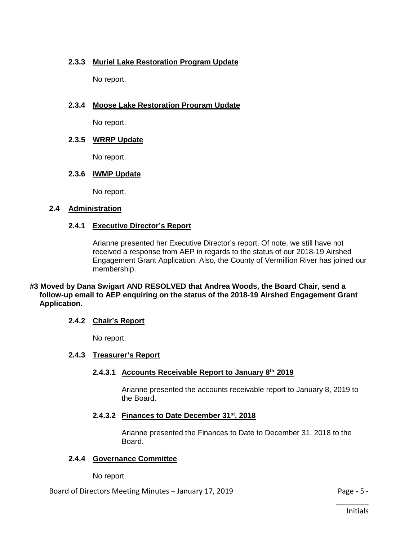# **2.3.3 Muriel Lake Restoration Program Update**

No report.

# **2.3.4 Moose Lake Restoration Program Update**

No report.

# **2.3.5 WRRP Update**

No report.

# **2.3.6 IWMP Update**

No report.

## **2.4 Administration**

## **2.4.1 Executive Director's Report**

Arianne presented her Executive Director's report. Of note, we still have not received a response from AEP in regards to the status of our 2018-19 Airshed Engagement Grant Application. Also, the County of Vermillion River has joined our membership.

### **#3 Moved by Dana Swigart AND RESOLVED that Andrea Woods, the Board Chair, send a follow-up email to AEP enquiring on the status of the 2018-19 Airshed Engagement Grant Application.**

# **2.4.2 Chair's Report**

No report.

# **2.4.3 Treasurer's Report**

# **2.4.3.1 Accounts Receivable Report to January 8th, 2019**

Arianne presented the accounts receivable report to January 8, 2019 to the Board.

# **2.4.3.2 Finances to Date December 31st, 2018**

Arianne presented the Finances to Date to December 31, 2018 to the Board.

# **2.4.4 Governance Committee**

No report.

# Board of Directors Meeting Minutes – January 17, 2019 **Page - 5 -** Page - 5 -

\_\_\_\_\_\_\_\_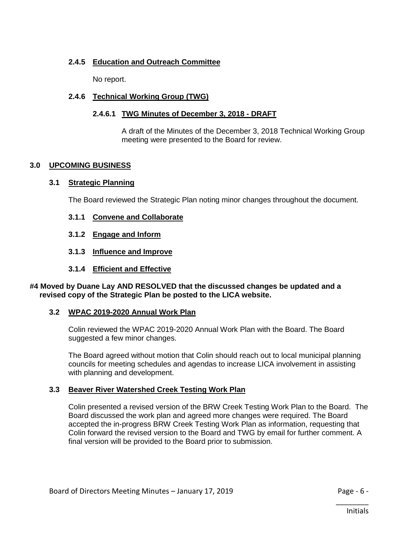# **2.4.5 Education and Outreach Committee**

No report.

## **2.4.6 Technical Working Group (TWG)**

## **2.4.6.1 TWG Minutes of December 3, 2018 - DRAFT**

A draft of the Minutes of the December 3, 2018 Technical Working Group meeting were presented to the Board for review.

## **3.0 UPCOMING BUSINESS**

## **3.1 Strategic Planning**

The Board reviewed the Strategic Plan noting minor changes throughout the document.

- **3.1.1 Convene and Collaborate**
- **3.1.2 Engage and Inform**
- **3.1.3 Influence and Improve**
- **3.1.4 Efficient and Effective**

#### **#4 Moved by Duane Lay AND RESOLVED that the discussed changes be updated and a revised copy of the Strategic Plan be posted to the LICA website.**

## **3.2 WPAC 2019-2020 Annual Work Plan**

Colin reviewed the WPAC 2019-2020 Annual Work Plan with the Board. The Board suggested a few minor changes.

The Board agreed without motion that Colin should reach out to local municipal planning councils for meeting schedules and agendas to increase LICA involvement in assisting with planning and development.

## **3.3 Beaver River Watershed Creek Testing Work Plan**

Colin presented a revised version of the BRW Creek Testing Work Plan to the Board. The Board discussed the work plan and agreed more changes were required. The Board accepted the in-progress BRW Creek Testing Work Plan as information, requesting that Colin forward the revised version to the Board and TWG by email for further comment. A final version will be provided to the Board prior to submission.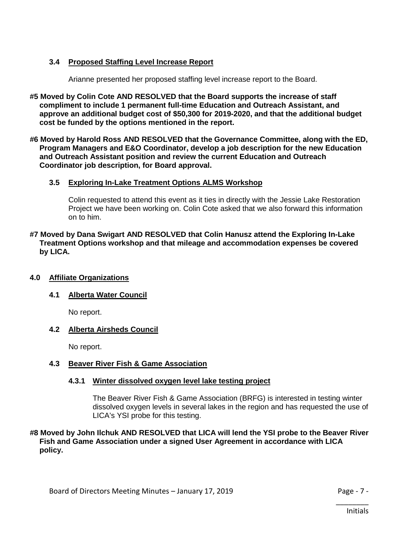# **3.4 Proposed Staffing Level Increase Report**

Arianne presented her proposed staffing level increase report to the Board.

- **#5 Moved by Colin Cote AND RESOLVED that the Board supports the increase of staff compliment to include 1 permanent full-time Education and Outreach Assistant, and approve an additional budget cost of \$50,300 for 2019-2020, and that the additional budget cost be funded by the options mentioned in the report.**
- **#6 Moved by Harold Ross AND RESOLVED that the Governance Committee, along with the ED, Program Managers and E&O Coordinator, develop a job description for the new Education and Outreach Assistant position and review the current Education and Outreach Coordinator job description, for Board approval.**

## **3.5 Exploring In-Lake Treatment Options ALMS Workshop**

Colin requested to attend this event as it ties in directly with the Jessie Lake Restoration Project we have been working on. Colin Cote asked that we also forward this information on to him.

**#7 Moved by Dana Swigart AND RESOLVED that Colin Hanusz attend the Exploring In-Lake Treatment Options workshop and that mileage and accommodation expenses be covered by LICA.**

## **4.0 Affiliate Organizations**

# **4.1 Alberta Water Council**

No report.

## **4.2 Alberta Airsheds Council**

No report.

## **4.3 Beaver River Fish & Game Association**

## **4.3.1 Winter dissolved oxygen level lake testing project**

The Beaver River Fish & Game Association (BRFG) is interested in testing winter dissolved oxygen levels in several lakes in the region and has requested the use of LICA's YSI probe for this testing.

### **#8 Moved by John Ilchuk AND RESOLVED that LICA will lend the YSI probe to the Beaver River Fish and Game Association under a signed User Agreement in accordance with LICA policy.**